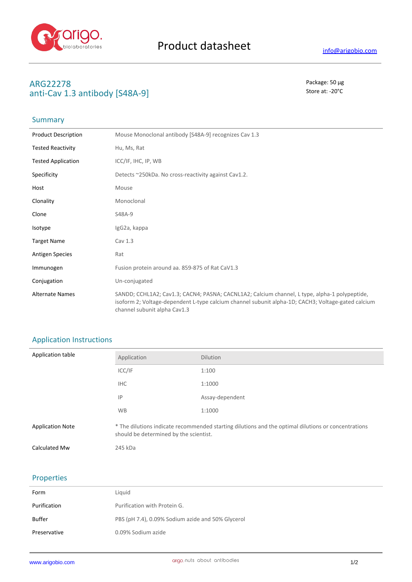

## **ARG22278** Package: 50 μg anti-Cav 1.3 antibody [S48A-9] Store at: -20<sup>°</sup>C

## Summary

| <b>Product Description</b> | Mouse Monoclonal antibody [S48A-9] recognizes Cav 1.3                                                                                                                                                                               |
|----------------------------|-------------------------------------------------------------------------------------------------------------------------------------------------------------------------------------------------------------------------------------|
| <b>Tested Reactivity</b>   | Hu, Ms, Rat                                                                                                                                                                                                                         |
| <b>Tested Application</b>  | ICC/IF, IHC, IP, WB                                                                                                                                                                                                                 |
| Specificity                | Detects ~250kDa. No cross-reactivity against Cav1.2.                                                                                                                                                                                |
| Host                       | Mouse                                                                                                                                                                                                                               |
| Clonality                  | Monoclonal                                                                                                                                                                                                                          |
| Clone                      | S48A-9                                                                                                                                                                                                                              |
| Isotype                    | IgG2a, kappa                                                                                                                                                                                                                        |
| <b>Target Name</b>         | Cav 1.3                                                                                                                                                                                                                             |
| <b>Antigen Species</b>     | Rat                                                                                                                                                                                                                                 |
| Immunogen                  | Fusion protein around aa. 859-875 of Rat CaV1.3                                                                                                                                                                                     |
| Conjugation                | Un-conjugated                                                                                                                                                                                                                       |
| <b>Alternate Names</b>     | SANDD; CCHL1A2; Cav1.3; CACN4; PASNA; CACNL1A2; Calcium channel, L type, alpha-1 polypeptide,<br>isoform 2; Voltage-dependent L-type calcium channel subunit alpha-1D; CACH3; Voltage-gated calcium<br>channel subunit alpha Cav1.3 |

## Application Instructions

| Application table       | Application                                                                                                                                   | <b>Dilution</b> |
|-------------------------|-----------------------------------------------------------------------------------------------------------------------------------------------|-----------------|
|                         | ICC/IF                                                                                                                                        | 1:100           |
|                         | <b>IHC</b>                                                                                                                                    | 1:1000          |
|                         | IP                                                                                                                                            | Assay-dependent |
|                         | <b>WB</b>                                                                                                                                     | 1:1000          |
| <b>Application Note</b> | * The dilutions indicate recommended starting dilutions and the optimal dilutions or concentrations<br>should be determined by the scientist. |                 |
| Calculated Mw           | 245 kDa                                                                                                                                       |                 |

## Properties

| Form         | Liquid                                            |
|--------------|---------------------------------------------------|
| Purification | Purification with Protein G.                      |
| Buffer       | PBS (pH 7.4), 0.09% Sodium azide and 50% Glycerol |
| Preservative | 0.09% Sodium azide                                |